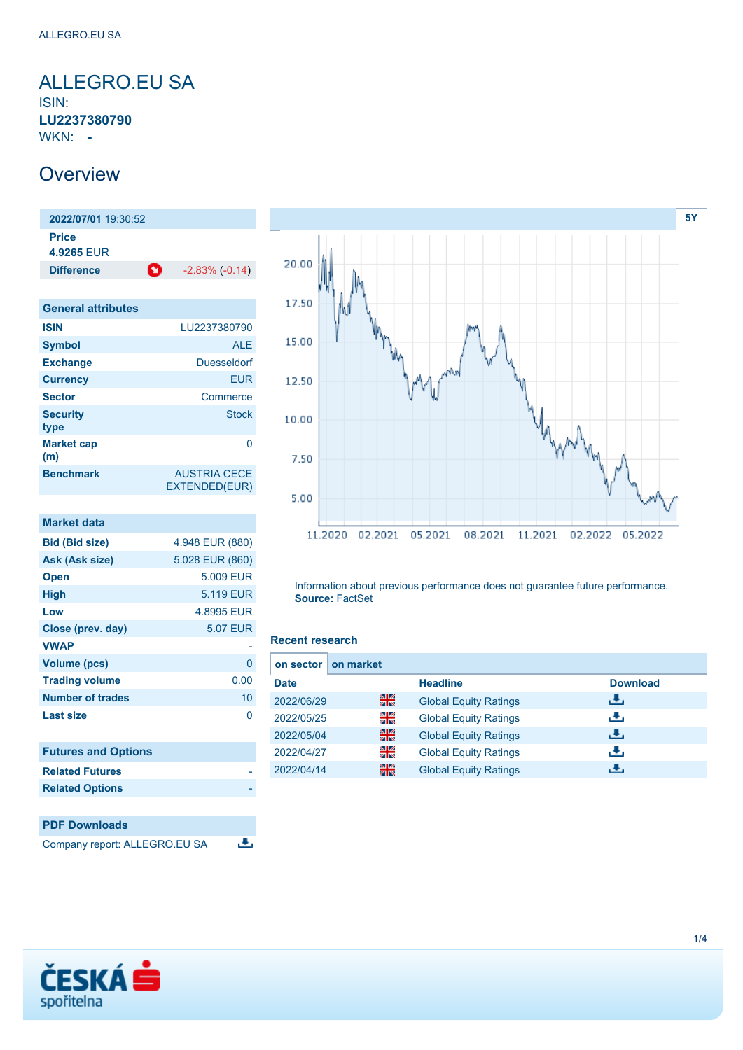### <span id="page-0-0"></span>ALLEGRO.EU SA ISIN: **LU2237380790** WKN: **-**

## **Overview**

**2022/07/01** 19:30:52 **Price 4.9265** EUR **Difference** -2.83% (-0.14)

| <b>General attributes</b> |                                      |
|---------------------------|--------------------------------------|
| <b>ISIN</b>               | LU2237380790                         |
| <b>Symbol</b>             | <b>ALE</b>                           |
| <b>Exchange</b>           | Duesseldorf                          |
| <b>Currency</b>           | <b>EUR</b>                           |
| <b>Sector</b>             | Commerce                             |
| <b>Security</b><br>type   | <b>Stock</b>                         |
| <b>Market cap</b><br>(m)  | ∩                                    |
| <b>Benchmark</b>          | <b>AUSTRIA CECE</b><br>EXTENDED(EUR) |

| <b>Market data</b>         |                 |
|----------------------------|-----------------|
| <b>Bid (Bid size)</b>      | 4.948 EUR (880) |
| Ask (Ask size)             | 5.028 EUR (860) |
| <b>Open</b>                | 5.009 EUR       |
| <b>High</b>                | 5.119 EUR       |
| Low                        | 4.8995 EUR      |
| Close (prev. day)          | <b>5.07 EUR</b> |
| <b>VWAP</b>                |                 |
| <b>Volume (pcs)</b>        | 0               |
| <b>Trading volume</b>      | 0.00            |
| <b>Number of trades</b>    | 10              |
| Last size                  | O               |
|                            |                 |
| <b>Futures and Options</b> |                 |
| <b>Related Futures</b>     |                 |
| <b>Related Options</b>     |                 |





Information about previous performance does not guarantee future performance. **Source:** FactSet

#### **Recent research**

| on sector I | on market |                              |                 |
|-------------|-----------|------------------------------|-----------------|
| <b>Date</b> |           | <b>Headline</b>              | <b>Download</b> |
| 2022/06/29  | 을중        | <b>Global Equity Ratings</b> | æ,              |
| 2022/05/25  | 읡         | <b>Global Equity Ratings</b> | æ,              |
| 2022/05/04  | 읡         | <b>Global Equity Ratings</b> | æ,              |
| 2022/04/27  | 을         | <b>Global Equity Ratings</b> | æ,              |
| 2022/04/14  | 噐         | <b>Global Equity Ratings</b> | е.              |

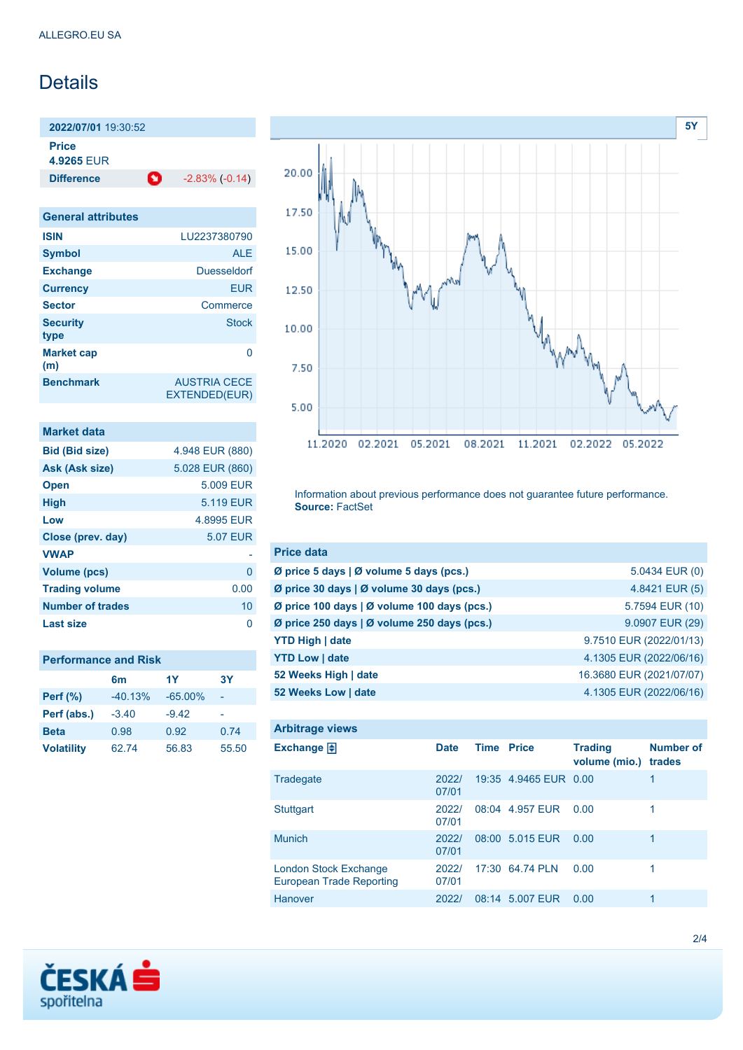# **Details**

**2022/07/01** 19:30:52 **Price**

**4.9265** EUR

**Difference 1** -2.83% (-0.14)

| <b>General attributes</b> |                                      |
|---------------------------|--------------------------------------|
| <b>ISIN</b>               | LU2237380790                         |
| <b>Symbol</b>             | AI F                                 |
| <b>Exchange</b>           | Duesseldorf                          |
| <b>Currency</b>           | <b>EUR</b>                           |
| <b>Sector</b>             | Commerce                             |
| <b>Security</b><br>type   | Stock                                |
| <b>Market cap</b><br>(m)  |                                      |
| <b>Benchmark</b>          | <b>AUSTRIA CECE</b><br>EXTENDED(EUR) |

| <b>Market data</b>      |                 |
|-------------------------|-----------------|
| <b>Bid (Bid size)</b>   | 4.948 EUR (880) |
| Ask (Ask size)          | 5.028 EUR (860) |
| <b>Open</b>             | 5.009 EUR       |
| <b>High</b>             | 5.119 EUR       |
| Low                     | 4.8995 EUR      |
| Close (prev. day)       | <b>5.07 EUR</b> |
| <b>VWAP</b>             |                 |
| <b>Volume (pcs)</b>     | 0               |
| <b>Trading volume</b>   | 0.00            |
| <b>Number of trades</b> | 10              |
| Last size               |                 |

| <b>Performance and Risk</b> |           |            |       |  |
|-----------------------------|-----------|------------|-------|--|
|                             | 6m        | 1Y         | 3Y    |  |
| <b>Perf</b> (%)             | $-40.13%$ | $-65.00\%$ |       |  |
| Perf (abs.)                 | $-3.40$   | $-9.42$    |       |  |
| <b>Beta</b>                 | 0.98      | 0.92       | 0.74  |  |
| <b>Volatility</b>           | 62.74     | 56.83      | 55.50 |  |



Information about previous performance does not guarantee future performance. **Source:** FactSet

| <b>Price data</b>                           |                          |
|---------------------------------------------|--------------------------|
| Ø price 5 days   Ø volume 5 days (pcs.)     | 5.0434 EUR (0)           |
| Ø price 30 days   Ø volume 30 days (pcs.)   | 4.8421 EUR (5)           |
| Ø price 100 days   Ø volume 100 days (pcs.) | 5.7594 EUR (10)          |
| Ø price 250 days   Ø volume 250 days (pcs.) | 9.0907 EUR (29)          |
| <b>YTD High   date</b>                      | 9.7510 EUR (2022/01/13)  |
| <b>YTD Low   date</b>                       | 4.1305 EUR (2022/06/16)  |
| 52 Weeks High   date                        | 16.3680 EUR (2021/07/07) |
| 52 Weeks Low   date                         | 4.1305 EUR (2022/06/16)  |

| <b>Arbitrage views</b>                                          |                |             |                       |                                 |                            |
|-----------------------------------------------------------------|----------------|-------------|-----------------------|---------------------------------|----------------------------|
| Exchange $\Box$                                                 | <b>Date</b>    | <b>Time</b> | <b>Price</b>          | <b>Trading</b><br>volume (mio.) | <b>Number of</b><br>trades |
| Tradegate                                                       | 2022/<br>07/01 |             | 19:35 4.9465 EUR 0.00 |                                 | 1                          |
| <b>Stuttgart</b>                                                | 2022/<br>07/01 |             | 08:04 4.957 EUR       | 0.00                            | 1                          |
| <b>Munich</b>                                                   | 2022/<br>07/01 |             | 08:00 5.015 EUR       | 0.00                            | 1                          |
| <b>London Stock Exchange</b><br><b>European Trade Reporting</b> | 2022/<br>07/01 |             | 17:30 64.74 PLN       | 0.00                            | 1                          |
| Hanover                                                         | 2022/          |             | 08:14 5.007 EUR       | 0.00                            | 1                          |

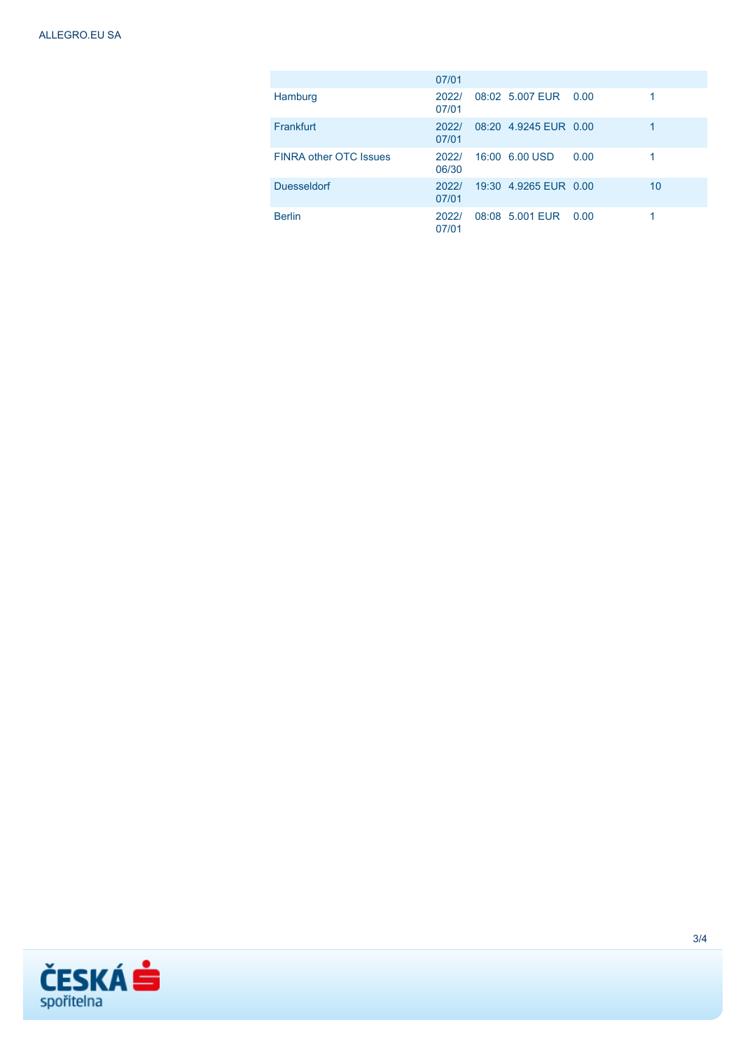|                               | 07/01          |                       |      |    |
|-------------------------------|----------------|-----------------------|------|----|
| Hamburg                       | 2022/<br>07/01 | 08:02 5.007 EUR 0.00  |      |    |
| Frankfurt                     | 2022/<br>07/01 | 08:20 4.9245 FUR 0.00 |      | 1  |
| <b>FINRA other OTC Issues</b> | 2022/<br>06/30 | 16:00 6.00 USD        | 0.00 |    |
| <b>Duesseldorf</b>            | 2022/<br>07/01 | 19:30 4.9265 EUR 0.00 |      | 10 |
| <b>Berlin</b>                 | 2022/<br>07/01 | 08:08 5.001 EUR 0.00  |      |    |